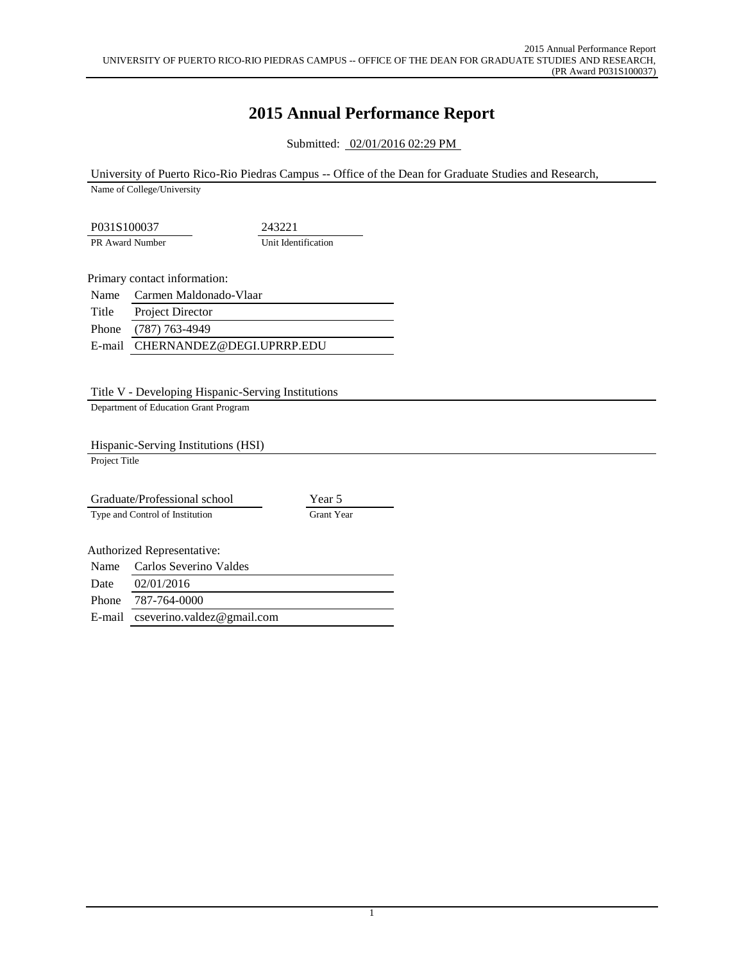## **2015 Annual Performance Report**

Submitted: 02/01/2016 02:29 PM

University of Puerto Rico-Rio Piedras Campus -- Office of the Dean for Graduate Studies and Research,

Name of College/University

P031S100037 243221 PR Award Number Unit Identification

Primary contact information:

|       | Name Carmen Maldonado-Vlaar      |
|-------|----------------------------------|
| Title | Project Director                 |
|       | Phone (787) 763-4949             |
|       | E-mail CHERNANDEZ@DEGI.UPRRP.EDU |
|       |                                  |

Title V - Developing Hispanic-Serving Institutions

Department of Education Grant Program

Hispanic-Serving Institutions (HSI)

Project Title

|        | Graduate/Professional school    | Year 5            |
|--------|---------------------------------|-------------------|
|        | Type and Control of Institution | <b>Grant Year</b> |
|        |                                 |                   |
|        | Authorized Representative:      |                   |
| Name   | Carlos Severino Valdes          |                   |
| Date   | 02/01/2016                      |                   |
| Phone  | 787-764-0000                    |                   |
| E-mail | cseverino.valdez@gmail.com      |                   |
|        |                                 |                   |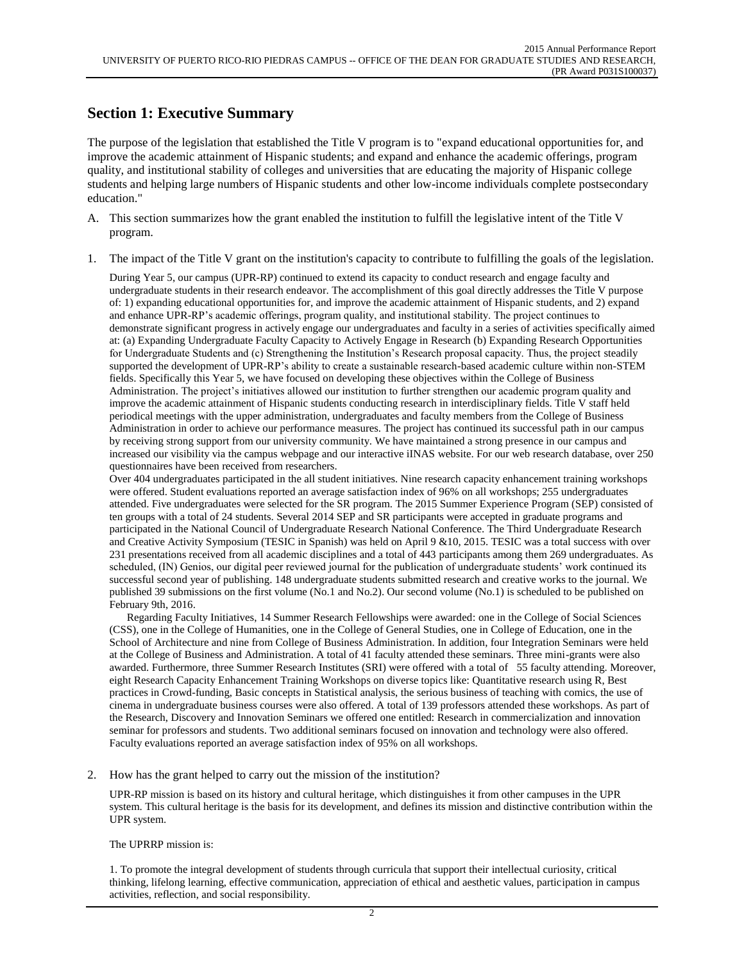#### **Section 1: Executive Summary**

The purpose of the legislation that established the Title V program is to "expand educational opportunities for, and improve the academic attainment of Hispanic students; and expand and enhance the academic offerings, program quality, and institutional stability of colleges and universities that are educating the majority of Hispanic college students and helping large numbers of Hispanic students and other low-income individuals complete postsecondary education."

- A. This section summarizes how the grant enabled the institution to fulfill the legislative intent of the Title V program.
- 1. The impact of the Title V grant on the institution's capacity to contribute to fulfilling the goals of the legislation.

During Year 5, our campus (UPR-RP) continued to extend its capacity to conduct research and engage faculty and undergraduate students in their research endeavor. The accomplishment of this goal directly addresses the Title V purpose of: 1) expanding educational opportunities for, and improve the academic attainment of Hispanic students, and 2) expand and enhance UPR-RP's academic offerings, program quality, and institutional stability. The project continues to demonstrate significant progress in actively engage our undergraduates and faculty in a series of activities specifically aimed at: (a) Expanding Undergraduate Faculty Capacity to Actively Engage in Research (b) Expanding Research Opportunities for Undergraduate Students and (c) Strengthening the Institution's Research proposal capacity. Thus, the project steadily supported the development of UPR-RP's ability to create a sustainable research-based academic culture within non-STEM fields. Specifically this Year 5, we have focused on developing these objectives within the College of Business Administration. The project's initiatives allowed our institution to further strengthen our academic program quality and improve the academic attainment of Hispanic students conducting research in interdisciplinary fields. Title V staff held periodical meetings with the upper administration, undergraduates and faculty members from the College of Business Administration in order to achieve our performance measures. The project has continued its successful path in our campus by receiving strong support from our university community. We have maintained a strong presence in our campus and increased our visibility via the campus webpage and our interactive iINAS website. For our web research database, over 250 questionnaires have been received from researchers.

Over 404 undergraduates participated in the all student initiatives. Nine research capacity enhancement training workshops were offered. Student evaluations reported an average satisfaction index of 96% on all workshops; 255 undergraduates attended. Five undergraduates were selected for the SR program. The 2015 Summer Experience Program (SEP) consisted of ten groups with a total of 24 students. Several 2014 SEP and SR participants were accepted in graduate programs and participated in the National Council of Undergraduate Research National Conference. The Third Undergraduate Research and Creative Activity Symposium (TESIC in Spanish) was held on April 9 &10, 2015. TESIC was a total success with over 231 presentations received from all academic disciplines and a total of 443 participants among them 269 undergraduates. As scheduled, (IN) Genios, our digital peer reviewed journal for the publication of undergraduate students' work continued its successful second year of publishing. 148 undergraduate students submitted research and creative works to the journal. We published 39 submissions on the first volume (No.1 and No.2). Our second volume (No.1) is scheduled to be published on February 9th, 2016.

 Regarding Faculty Initiatives, 14 Summer Research Fellowships were awarded: one in the College of Social Sciences (CSS), one in the College of Humanities, one in the College of General Studies, one in College of Education, one in the School of Architecture and nine from College of Business Administration. In addition, four Integration Seminars were held at the College of Business and Administration. A total of 41 faculty attended these seminars. Three mini-grants were also awarded. Furthermore, three Summer Research Institutes (SRI) were offered with a total of 55 faculty attending. Moreover, eight Research Capacity Enhancement Training Workshops on diverse topics like: Quantitative research using R, Best practices in Crowd-funding, Basic concepts in Statistical analysis, the serious business of teaching with comics, the use of cinema in undergraduate business courses were also offered. A total of 139 professors attended these workshops. As part of the Research, Discovery and Innovation Seminars we offered one entitled: Research in commercialization and innovation seminar for professors and students. Two additional seminars focused on innovation and technology were also offered. Faculty evaluations reported an average satisfaction index of 95% on all workshops.

2. How has the grant helped to carry out the mission of the institution?

UPR-RP mission is based on its history and cultural heritage, which distinguishes it from other campuses in the UPR system. This cultural heritage is the basis for its development, and defines its mission and distinctive contribution within the UPR system.

The UPRRP mission is:

1. To promote the integral development of students through curricula that support their intellectual curiosity, critical thinking, lifelong learning, effective communication, appreciation of ethical and aesthetic values, participation in campus activities, reflection, and social responsibility.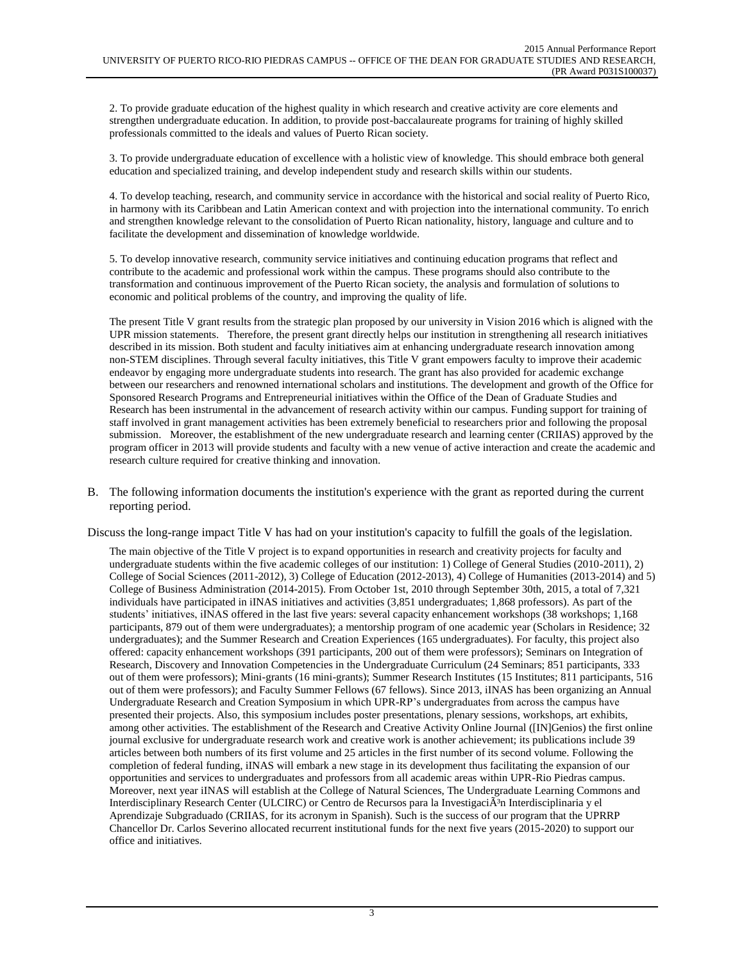2. To provide graduate education of the highest quality in which research and creative activity are core elements and strengthen undergraduate education. In addition, to provide post-baccalaureate programs for training of highly skilled professionals committed to the ideals and values of Puerto Rican society.

3. To provide undergraduate education of excellence with a holistic view of knowledge. This should embrace both general education and specialized training, and develop independent study and research skills within our students.

4. To develop teaching, research, and community service in accordance with the historical and social reality of Puerto Rico, in harmony with its Caribbean and Latin American context and with projection into the international community. To enrich and strengthen knowledge relevant to the consolidation of Puerto Rican nationality, history, language and culture and to facilitate the development and dissemination of knowledge worldwide.

5. To develop innovative research, community service initiatives and continuing education programs that reflect and contribute to the academic and professional work within the campus. These programs should also contribute to the transformation and continuous improvement of the Puerto Rican society, the analysis and formulation of solutions to economic and political problems of the country, and improving the quality of life.

The present Title V grant results from the strategic plan proposed by our university in Vision 2016 which is aligned with the UPR mission statements. Therefore, the present grant directly helps our institution in strengthening all research initiatives described in its mission. Both student and faculty initiatives aim at enhancing undergraduate research innovation among non-STEM disciplines. Through several faculty initiatives, this Title V grant empowers faculty to improve their academic endeavor by engaging more undergraduate students into research. The grant has also provided for academic exchange between our researchers and renowned international scholars and institutions. The development and growth of the Office for Sponsored Research Programs and Entrepreneurial initiatives within the Office of the Dean of Graduate Studies and Research has been instrumental in the advancement of research activity within our campus. Funding support for training of staff involved in grant management activities has been extremely beneficial to researchers prior and following the proposal submission. Moreover, the establishment of the new undergraduate research and learning center (CRIIAS) approved by the program officer in 2013 will provide students and faculty with a new venue of active interaction and create the academic and research culture required for creative thinking and innovation.

B. The following information documents the institution's experience with the grant as reported during the current reporting period.

Discuss the long-range impact Title V has had on your institution's capacity to fulfill the goals of the legislation.

The main objective of the Title V project is to expand opportunities in research and creativity projects for faculty and undergraduate students within the five academic colleges of our institution: 1) College of General Studies (2010-2011), 2) College of Social Sciences (2011-2012), 3) College of Education (2012-2013), 4) College of Humanities (2013-2014) and 5) College of Business Administration (2014-2015). From October 1st, 2010 through September 30th, 2015, a total of 7,321 individuals have participated in iINAS initiatives and activities (3,851 undergraduates; 1,868 professors). As part of the students' initiatives, iINAS offered in the last five years: several capacity enhancement workshops (38 workshops; 1,168 participants, 879 out of them were undergraduates); a mentorship program of one academic year (Scholars in Residence; 32 undergraduates); and the Summer Research and Creation Experiences (165 undergraduates). For faculty, this project also offered: capacity enhancement workshops (391 participants, 200 out of them were professors); Seminars on Integration of Research, Discovery and Innovation Competencies in the Undergraduate Curriculum (24 Seminars; 851 participants, 333 out of them were professors); Mini-grants (16 mini-grants); Summer Research Institutes (15 Institutes; 811 participants, 516 out of them were professors); and Faculty Summer Fellows (67 fellows). Since 2013, iINAS has been organizing an Annual Undergraduate Research and Creation Symposium in which UPR-RP's undergraduates from across the campus have presented their projects. Also, this symposium includes poster presentations, plenary sessions, workshops, art exhibits, among other activities. The establishment of the Research and Creative Activity Online Journal ([IN]Genios) the first online journal exclusive for undergraduate research work and creative work is another achievement; its publications include 39 articles between both numbers of its first volume and 25 articles in the first number of its second volume. Following the completion of federal funding, iINAS will embark a new stage in its development thus facilitating the expansion of our opportunities and services to undergraduates and professors from all academic areas within UPR-Rio Piedras campus. Moreover, next year iINAS will establish at the College of Natural Sciences, The Undergraduate Learning Commons and Interdisciplinary Research Center (ULCIRC) or Centro de Recursos para la InvestigaciÃ<sup>3</sup>n Interdisciplinaria y el Aprendizaje Subgraduado (CRIIAS, for its acronym in Spanish). Such is the success of our program that the UPRRP Chancellor Dr. Carlos Severino allocated recurrent institutional funds for the next five years (2015-2020) to support our office and initiatives.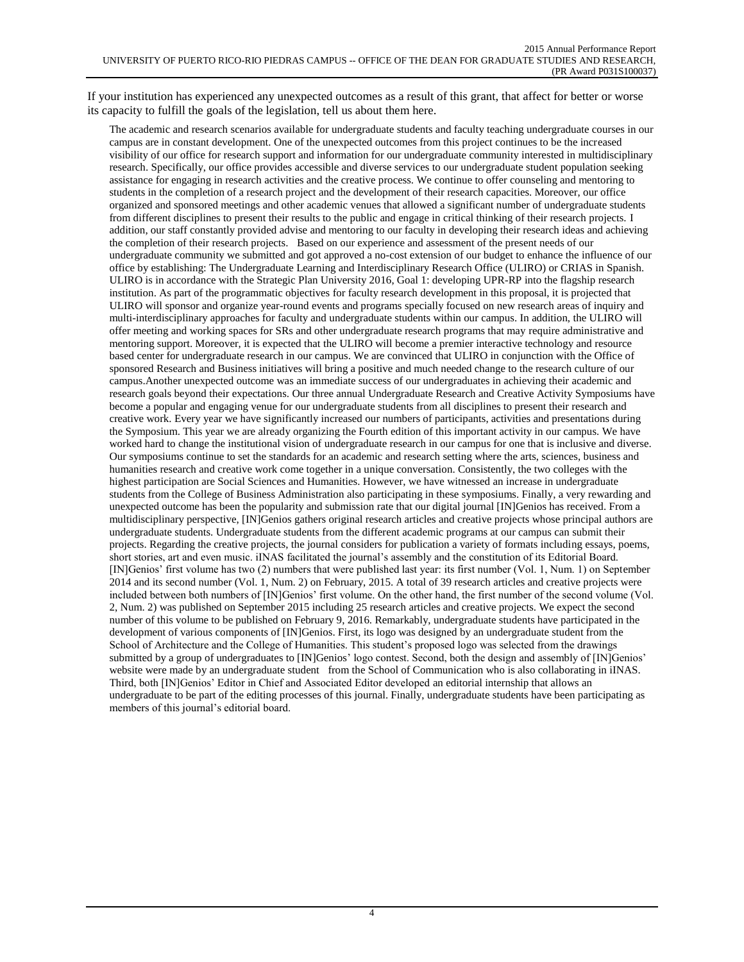If your institution has experienced any unexpected outcomes as a result of this grant, that affect for better or worse its capacity to fulfill the goals of the legislation, tell us about them here.

The academic and research scenarios available for undergraduate students and faculty teaching undergraduate courses in our campus are in constant development. One of the unexpected outcomes from this project continues to be the increased visibility of our office for research support and information for our undergraduate community interested in multidisciplinary research. Specifically, our office provides accessible and diverse services to our undergraduate student population seeking assistance for engaging in research activities and the creative process. We continue to offer counseling and mentoring to students in the completion of a research project and the development of their research capacities. Moreover, our office organized and sponsored meetings and other academic venues that allowed a significant number of undergraduate students from different disciplines to present their results to the public and engage in critical thinking of their research projects. I addition, our staff constantly provided advise and mentoring to our faculty in developing their research ideas and achieving the completion of their research projects. Based on our experience and assessment of the present needs of our undergraduate community we submitted and got approved a no-cost extension of our budget to enhance the influence of our office by establishing: The Undergraduate Learning and Interdisciplinary Research Office (ULIRO) or CRIAS in Spanish. ULIRO is in accordance with the Strategic Plan University 2016, Goal 1: developing UPR-RP into the flagship research institution. As part of the programmatic objectives for faculty research development in this proposal, it is projected that ULIRO will sponsor and organize year-round events and programs specially focused on new research areas of inquiry and multi-interdisciplinary approaches for faculty and undergraduate students within our campus. In addition, the ULIRO will offer meeting and working spaces for SRs and other undergraduate research programs that may require administrative and mentoring support. Moreover, it is expected that the ULIRO will become a premier interactive technology and resource based center for undergraduate research in our campus. We are convinced that ULIRO in conjunction with the Office of sponsored Research and Business initiatives will bring a positive and much needed change to the research culture of our campus.Another unexpected outcome was an immediate success of our undergraduates in achieving their academic and research goals beyond their expectations. Our three annual Undergraduate Research and Creative Activity Symposiums have become a popular and engaging venue for our undergraduate students from all disciplines to present their research and creative work. Every year we have significantly increased our numbers of participants, activities and presentations during the Symposium. This year we are already organizing the Fourth edition of this important activity in our campus. We have worked hard to change the institutional vision of undergraduate research in our campus for one that is inclusive and diverse. Our symposiums continue to set the standards for an academic and research setting where the arts, sciences, business and humanities research and creative work come together in a unique conversation. Consistently, the two colleges with the highest participation are Social Sciences and Humanities. However, we have witnessed an increase in undergraduate students from the College of Business Administration also participating in these symposiums. Finally, a very rewarding and unexpected outcome has been the popularity and submission rate that our digital journal [IN]Genios has received. From a multidisciplinary perspective, [IN]Genios gathers original research articles and creative projects whose principal authors are undergraduate students. Undergraduate students from the different academic programs at our campus can submit their projects. Regarding the creative projects, the journal considers for publication a variety of formats including essays, poems, short stories, art and even music. iINAS facilitated the journal's assembly and the constitution of its Editorial Board. [IN]Genios' first volume has two (2) numbers that were published last year: its first number (Vol. 1, Num. 1) on September 2014 and its second number (Vol. 1, Num. 2) on February, 2015. A total of 39 research articles and creative projects were included between both numbers of [IN]Genios' first volume. On the other hand, the first number of the second volume (Vol. 2, Num. 2) was published on September 2015 including 25 research articles and creative projects. We expect the second number of this volume to be published on February 9, 2016. Remarkably, undergraduate students have participated in the development of various components of [IN]Genios. First, its logo was designed by an undergraduate student from the School of Architecture and the College of Humanities. This student's proposed logo was selected from the drawings submitted by a group of undergraduates to [IN]Genios' logo contest. Second, both the design and assembly of [IN]Genios' website were made by an undergraduate student from the School of Communication who is also collaborating in iINAS. Third, both [IN]Genios' Editor in Chief and Associated Editor developed an editorial internship that allows an undergraduate to be part of the editing processes of this journal. Finally, undergraduate students have been participating as members of this journal's editorial board.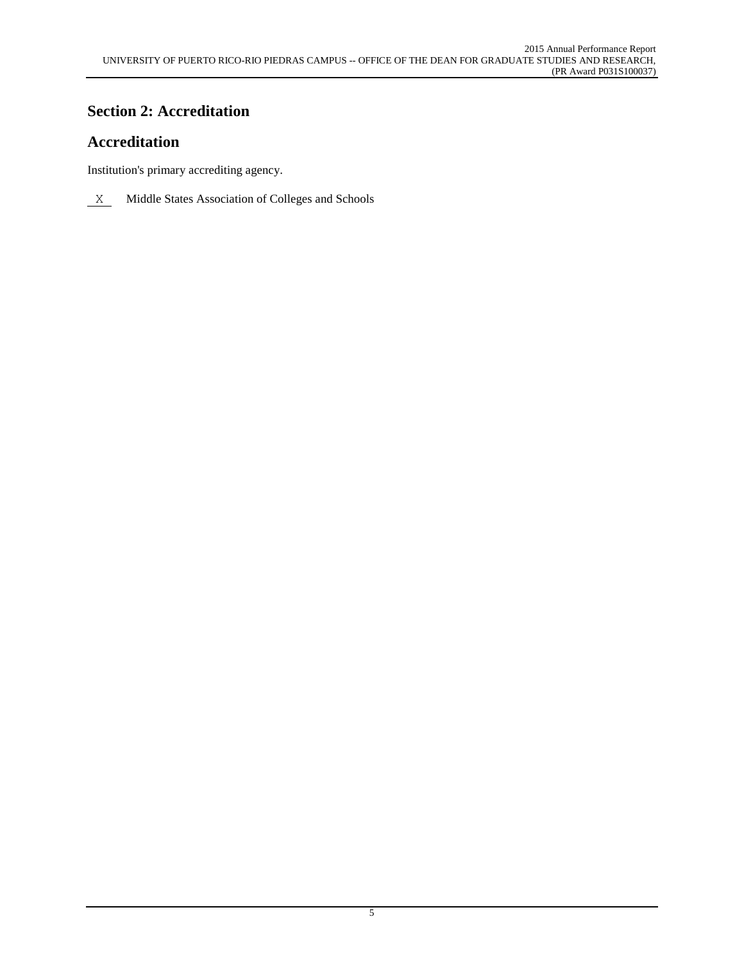## **Section 2: Accreditation**

# **Accreditation**

Institution's primary accrediting agency.

 $X$  Middle States Association of Colleges and Schools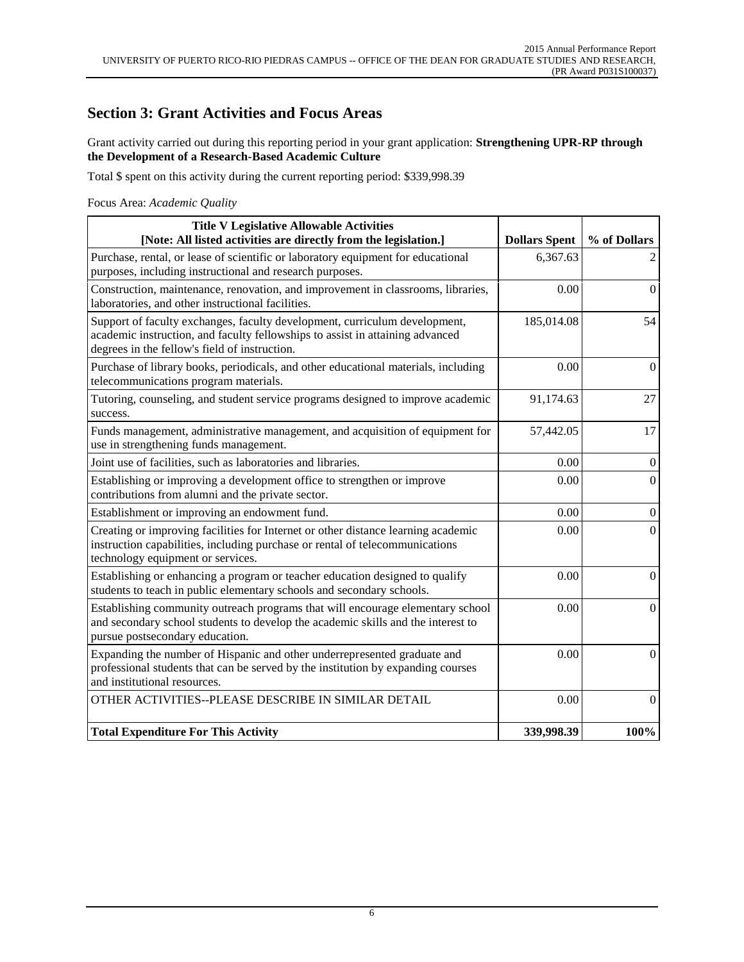#### **Section 3: Grant Activities and Focus Areas**

Grant activity carried out during this reporting period in your grant application: **Strengthening UPR-RP through the Development of a Research-Based Academic Culture**

Total \$ spent on this activity during the current reporting period: \$339,998.39

Focus Area: *Academic Quality*

| <b>Title V Legislative Allowable Activities</b><br>[Note: All listed activities are directly from the legislation.]                                                                                          | <b>Dollars Spent</b> | % of Dollars     |
|--------------------------------------------------------------------------------------------------------------------------------------------------------------------------------------------------------------|----------------------|------------------|
| Purchase, rental, or lease of scientific or laboratory equipment for educational<br>purposes, including instructional and research purposes.                                                                 | 6,367.63             | $\overline{2}$   |
| Construction, maintenance, renovation, and improvement in classrooms, libraries,<br>laboratories, and other instructional facilities.                                                                        | 0.00                 | $\boldsymbol{0}$ |
| Support of faculty exchanges, faculty development, curriculum development,<br>academic instruction, and faculty fellowships to assist in attaining advanced<br>degrees in the fellow's field of instruction. | 185,014.08           | 54               |
| Purchase of library books, periodicals, and other educational materials, including<br>telecommunications program materials.                                                                                  | 0.00                 | $\Omega$         |
| Tutoring, counseling, and student service programs designed to improve academic<br>success.                                                                                                                  | 91,174.63            | 27               |
| Funds management, administrative management, and acquisition of equipment for<br>use in strengthening funds management.                                                                                      | 57,442.05            | 17               |
| Joint use of facilities, such as laboratories and libraries.                                                                                                                                                 | 0.00                 | $\overline{0}$   |
| Establishing or improving a development office to strengthen or improve<br>contributions from alumni and the private sector.                                                                                 | 0.00                 | $\boldsymbol{0}$ |
| Establishment or improving an endowment fund.                                                                                                                                                                | 0.00                 | $\boldsymbol{0}$ |
| Creating or improving facilities for Internet or other distance learning academic<br>instruction capabilities, including purchase or rental of telecommunications<br>technology equipment or services.       | 0.00                 | $\Omega$         |
| Establishing or enhancing a program or teacher education designed to qualify<br>students to teach in public elementary schools and secondary schools.                                                        | 0.00                 | $\overline{0}$   |
| Establishing community outreach programs that will encourage elementary school<br>and secondary school students to develop the academic skills and the interest to<br>pursue postsecondary education.        | 0.00                 | $\mathbf{0}$     |
| Expanding the number of Hispanic and other underrepresented graduate and<br>professional students that can be served by the institution by expanding courses<br>and institutional resources.                 | 0.00                 | $\boldsymbol{0}$ |
| OTHER ACTIVITIES--PLEASE DESCRIBE IN SIMILAR DETAIL                                                                                                                                                          | 0.00                 | $\mathbf{0}$     |
| <b>Total Expenditure For This Activity</b>                                                                                                                                                                   | 339,998.39           | 100%             |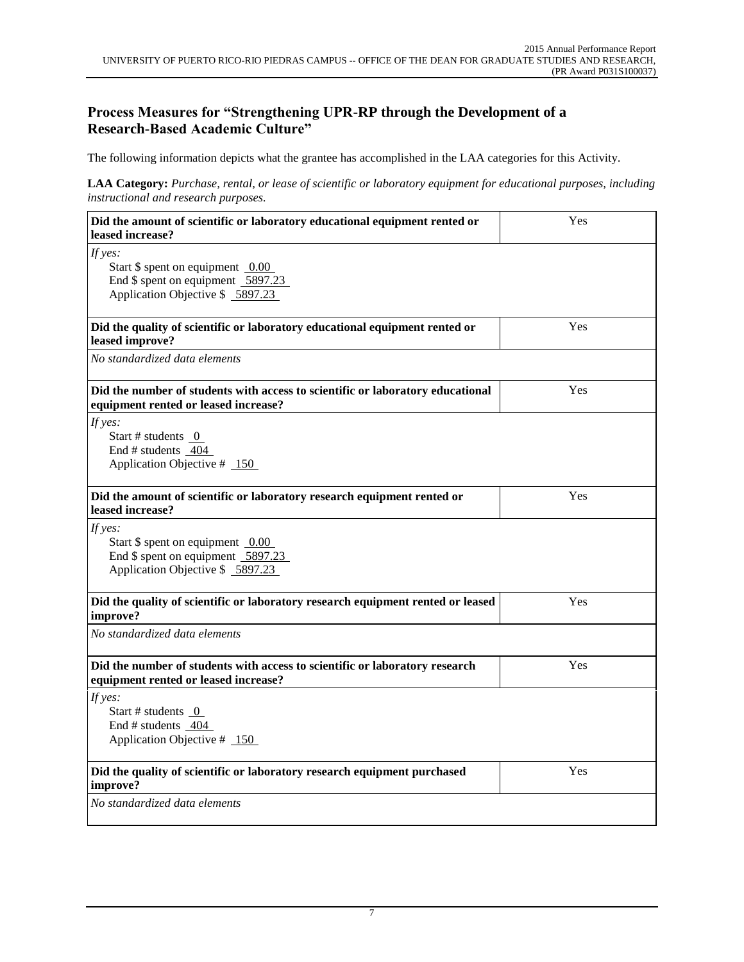#### **Process Measures for "Strengthening UPR-RP through the Development of a Research-Based Academic Culture"**

The following information depicts what the grantee has accomplished in the LAA categories for this Activity.

**LAA Category:** *Purchase, rental, or lease of scientific or laboratory equipment for educational purposes, including instructional and research purposes.*

| Did the amount of scientific or laboratory educational equipment rented or<br>leased increase?                                    | Yes |
|-----------------------------------------------------------------------------------------------------------------------------------|-----|
| If $yes:$<br>Start $$$ spent on equipment 0.00<br>End \$ spent on equipment 5897.23<br>Application Objective \$ 5897.23           |     |
| Did the quality of scientific or laboratory educational equipment rented or<br>leased improve?                                    | Yes |
| No standardized data elements                                                                                                     |     |
| Did the number of students with access to scientific or laboratory educational<br>equipment rented or leased increase?            | Yes |
| If yes:<br>Start # students $0$<br>End # students 404<br>Application Objective $#$ 150                                            |     |
| Did the amount of scientific or laboratory research equipment rented or<br>leased increase?                                       | Yes |
| If $yes:$<br>Start $\frac{1}{2}$ spent on equipment 0.00<br>End \$ spent on equipment 5897.23<br>Application Objective \$ 5897.23 |     |
| Did the quality of scientific or laboratory research equipment rented or leased<br>improve?                                       | Yes |
| No standardized data elements                                                                                                     |     |
| Did the number of students with access to scientific or laboratory research<br>equipment rented or leased increase?               | Yes |
| If $yes:$<br>Start # students 0<br>End # students _404<br>Application Objective # 150                                             |     |
| Did the quality of scientific or laboratory research equipment purchased<br>improve?                                              | Yes |
| No standardized data elements                                                                                                     |     |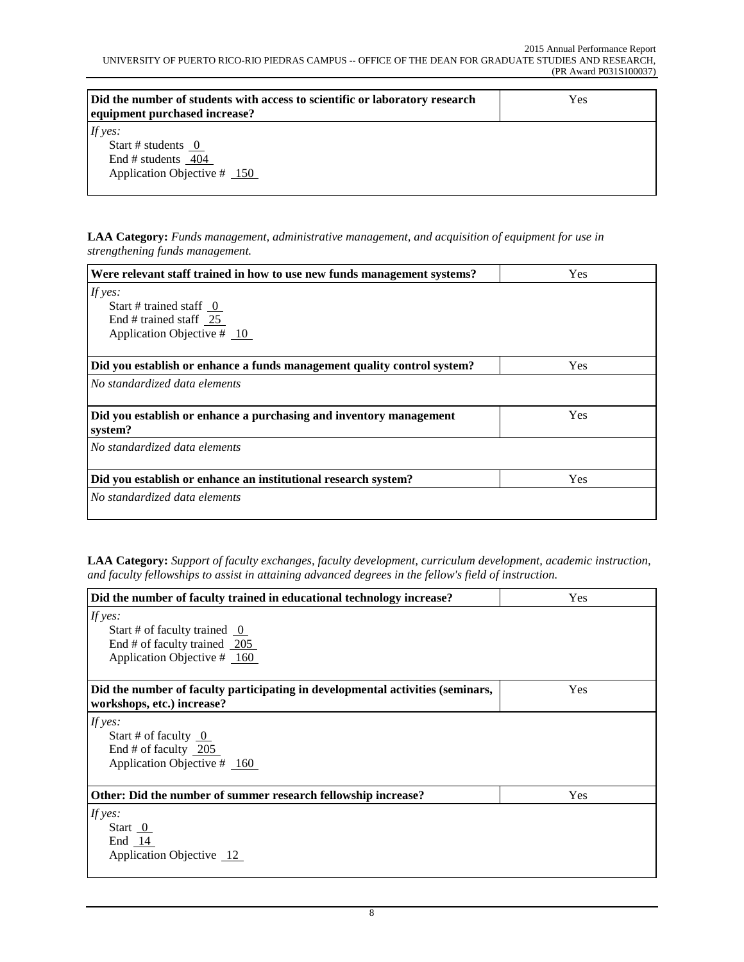| Did the number of students with access to scientific or laboratory research<br>equipment purchased increase? | Yes |
|--------------------------------------------------------------------------------------------------------------|-----|
| If yes:<br>Start # students $0$<br>End # students 404<br>Application Objective $#$ 150                       |     |

**LAA Category:** *Funds management, administrative management, and acquisition of equipment for use in strengthening funds management.*

| Were relevant staff trained in how to use new funds management systems?       | Yes |
|-------------------------------------------------------------------------------|-----|
| If yes:                                                                       |     |
| Start # trained staff $0$                                                     |     |
| End # trained staff $25$                                                      |     |
| Application Objective $#10$                                                   |     |
|                                                                               |     |
| Did you establish or enhance a funds management quality control system?       | Yes |
| No standardized data elements                                                 |     |
| Did you establish or enhance a purchasing and inventory management<br>system? | Yes |
| No standardized data elements                                                 |     |
| Did you establish or enhance an institutional research system?                | Yes |
| No standardized data elements                                                 |     |
|                                                                               |     |

**LAA Category:** *Support of faculty exchanges, faculty development, curriculum development, academic instruction, and faculty fellowships to assist in attaining advanced degrees in the fellow's field of instruction.*

| Did the number of faculty trained in educational technology increase?          | Yes |  |
|--------------------------------------------------------------------------------|-----|--|
| If yes:                                                                        |     |  |
| Start # of faculty trained $\overline{0}$                                      |     |  |
| End # of faculty trained 205                                                   |     |  |
| Application Objective # 160                                                    |     |  |
|                                                                                |     |  |
| Did the number of faculty participating in developmental activities (seminars, | Yes |  |
| workshops, etc.) increase?                                                     |     |  |
| If yes:                                                                        |     |  |
| Start # of faculty $\overline{0}$                                              |     |  |
| End $#$ of faculty 205                                                         |     |  |
| Application Objective # 160                                                    |     |  |
|                                                                                |     |  |
| Other: Did the number of summer research fellowship increase?                  | Yes |  |
| If yes:                                                                        |     |  |
| Start $0$                                                                      |     |  |
| End $14$                                                                       |     |  |
| Application Objective 12                                                       |     |  |
|                                                                                |     |  |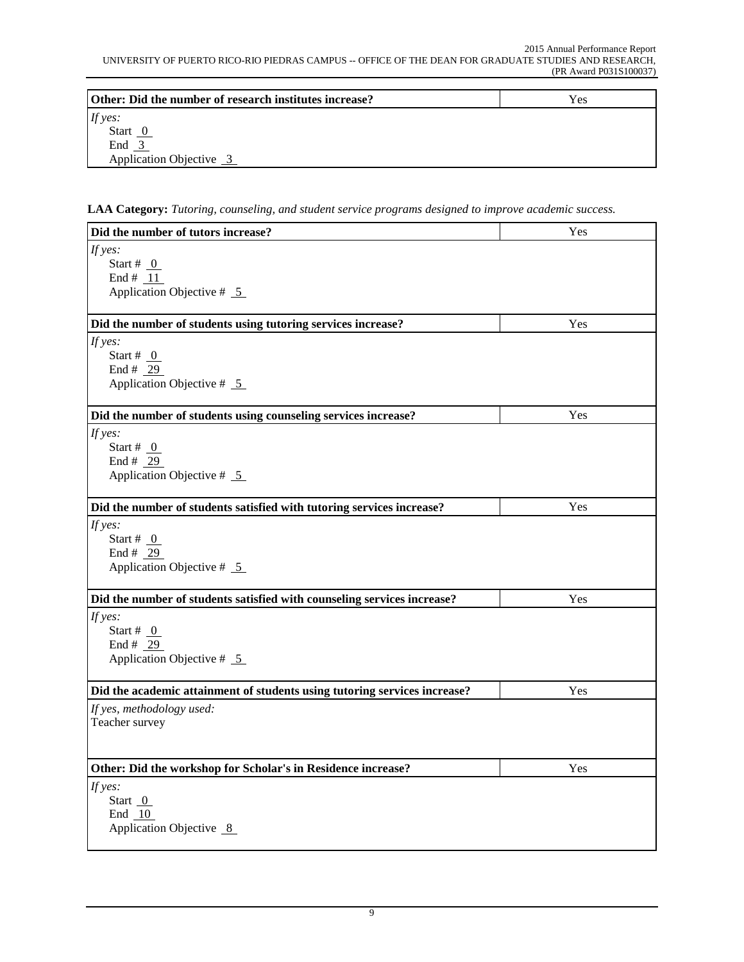| Other: Did the number of research institutes increase? | Yes |
|--------------------------------------------------------|-----|
| If yes:                                                |     |
| Start $\overline{0}$                                   |     |
| End 3                                                  |     |
| Application Objective 3                                |     |

**LAA Category:** *Tutoring, counseling, and student service programs designed to improve academic success.*

| Did the number of tutors increase?                                        | Yes |
|---------------------------------------------------------------------------|-----|
| If yes:<br>Start # $_0$<br>End # $11$<br>Application Objective $# 5$      |     |
| Did the number of students using tutoring services increase?              | Yes |
| If yes:<br>Start # $_0$<br>End # $29$<br>Application Objective $# 5$      |     |
| Did the number of students using counseling services increase?            | Yes |
| If yes:<br>Start # $_0$<br>End # 29<br>Application Objective $# 5$        |     |
| Did the number of students satisfied with tutoring services increase?     | Yes |
| If yes:<br>Start # $_0$<br>End # $29$<br>Application Objective $# 5$      |     |
| Did the number of students satisfied with counseling services increase?   | Yes |
| If yes:<br>Start # $_0$<br>End # $29$<br>Application Objective $# 5$      |     |
| Did the academic attainment of students using tutoring services increase? | Yes |
| If yes, methodology used:<br>Teacher survey                               |     |
| Other: Did the workshop for Scholar's in Residence increase?              | Yes |
| If yes:<br>Start $0$<br>End 10<br>Application Objective 8                 |     |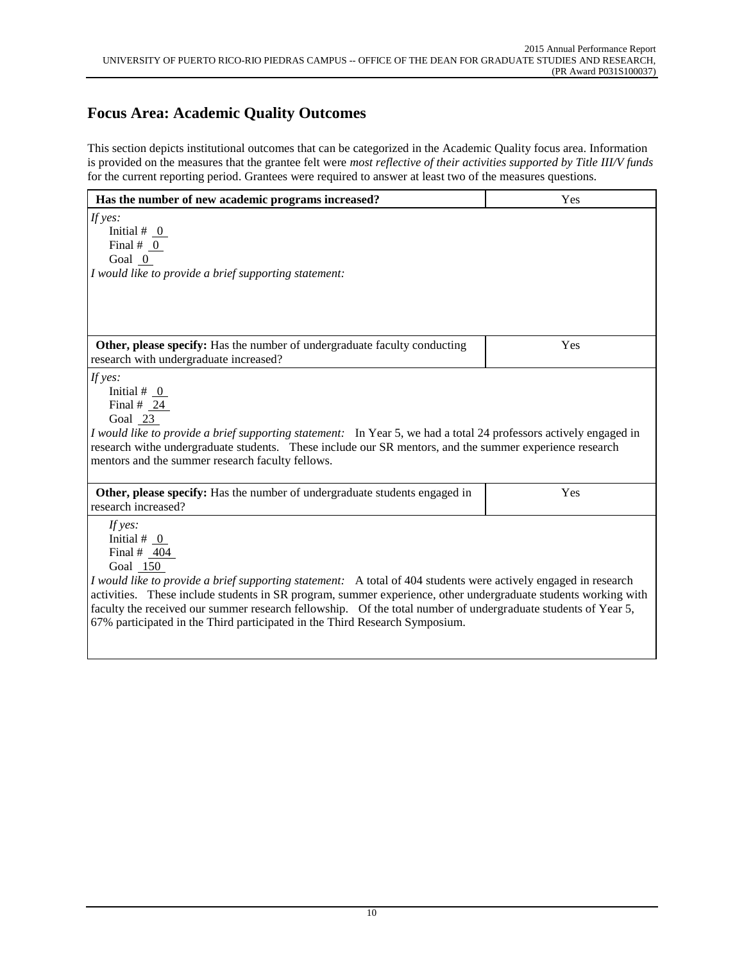#### **Focus Area: Academic Quality Outcomes**

This section depicts institutional outcomes that can be categorized in the Academic Quality focus area. Information is provided on the measures that the grantee felt were *most reflective of their activities supported by Title III/V funds* for the current reporting period. Grantees were required to answer at least two of the measures questions.

| Has the number of new academic programs increased?                                                                                                                                                                                                                                                                                                                                                                                                                                          | Yes |
|---------------------------------------------------------------------------------------------------------------------------------------------------------------------------------------------------------------------------------------------------------------------------------------------------------------------------------------------------------------------------------------------------------------------------------------------------------------------------------------------|-----|
| If yes:<br>Initial # $_0$<br>Final $# 0$<br>Goal $0$<br>I would like to provide a brief supporting statement:                                                                                                                                                                                                                                                                                                                                                                               |     |
|                                                                                                                                                                                                                                                                                                                                                                                                                                                                                             |     |
| Other, please specify: Has the number of undergraduate faculty conducting<br>research with undergraduate increased?                                                                                                                                                                                                                                                                                                                                                                         | Yes |
| If $yes:$<br>Initial # $\overline{0}$<br>Final $#$ 24<br>Goal 23<br>I would like to provide a brief supporting statement: In Year 5, we had a total 24 professors actively engaged in<br>research withe undergraduate students. These include our SR mentors, and the summer experience research<br>mentors and the summer research faculty fellows.                                                                                                                                        |     |
| Other, please specify: Has the number of undergraduate students engaged in<br>research increased?                                                                                                                                                                                                                                                                                                                                                                                           | Yes |
| If yes:<br>Initial # $_0$<br>Final # $404$<br>Goal 150<br>I would like to provide a brief supporting statement: A total of 404 students were actively engaged in research<br>activities. These include students in SR program, summer experience, other undergraduate students working with<br>faculty the received our summer research fellowship. Of the total number of undergraduate students of Year 5,<br>67% participated in the Third participated in the Third Research Symposium. |     |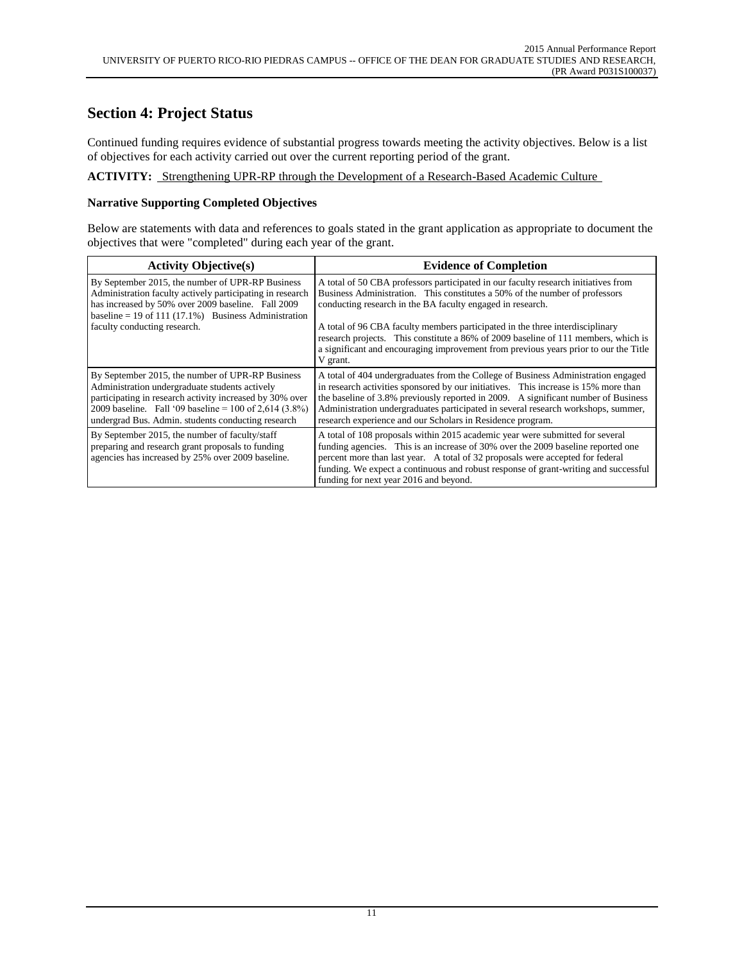#### **Section 4: Project Status**

Continued funding requires evidence of substantial progress towards meeting the activity objectives. Below is a list of objectives for each activity carried out over the current reporting period of the grant.

**ACTIVITY:** Strengthening UPR-RP through the Development of a Research-Based Academic Culture

#### **Narrative Supporting Completed Objectives**

Below are statements with data and references to goals stated in the grant application as appropriate to document the objectives that were "completed" during each year of the grant.

| <b>Activity Objective(s)</b>                                                                                                                                                                                                                                                      | <b>Evidence of Completion</b>                                                                                                                                                                                                                                                                                                                                                                                                                                                                              |
|-----------------------------------------------------------------------------------------------------------------------------------------------------------------------------------------------------------------------------------------------------------------------------------|------------------------------------------------------------------------------------------------------------------------------------------------------------------------------------------------------------------------------------------------------------------------------------------------------------------------------------------------------------------------------------------------------------------------------------------------------------------------------------------------------------|
| By September 2015, the number of UPR-RP Business<br>Administration faculty actively participating in research<br>has increased by 50% over 2009 baseline. Fall 2009<br>baseline = 19 of 111 $(17.1\%)$ Business Administration<br>faculty conducting research.                    | A total of 50 CBA professors participated in our faculty research initiatives from<br>Business Administration. This constitutes a 50% of the number of professors<br>conducting research in the BA faculty engaged in research.<br>A total of 96 CBA faculty members participated in the three interdisciplinary<br>research projects. This constitute a 86% of 2009 baseline of 111 members, which is<br>a significant and encouraging improvement from previous years prior to our the Title<br>V grant. |
| By September 2015, the number of UPR-RP Business<br>Administration undergraduate students actively<br>participating in research activity increased by 30% over<br>2009 baseline. Fall '09 baseline = 100 of 2,614 $(3.8\%)$<br>undergrad Bus. Admin. students conducting research | A total of 404 undergraduates from the College of Business Administration engaged<br>in research activities sponsored by our initiatives. This increase is 15% more than<br>the baseline of 3.8% previously reported in 2009. A significant number of Business<br>Administration undergraduates participated in several research workshops, summer,<br>research experience and our Scholars in Residence program.                                                                                          |
| By September 2015, the number of faculty/staff<br>preparing and research grant proposals to funding<br>agencies has increased by 25% over 2009 baseline.                                                                                                                          | A total of 108 proposals within 2015 academic year were submitted for several<br>funding agencies. This is an increase of 30% over the 2009 baseline reported one<br>percent more than last year. A total of 32 proposals were accepted for federal<br>funding. We expect a continuous and robust response of grant-writing and successful<br>funding for next year 2016 and beyond.                                                                                                                       |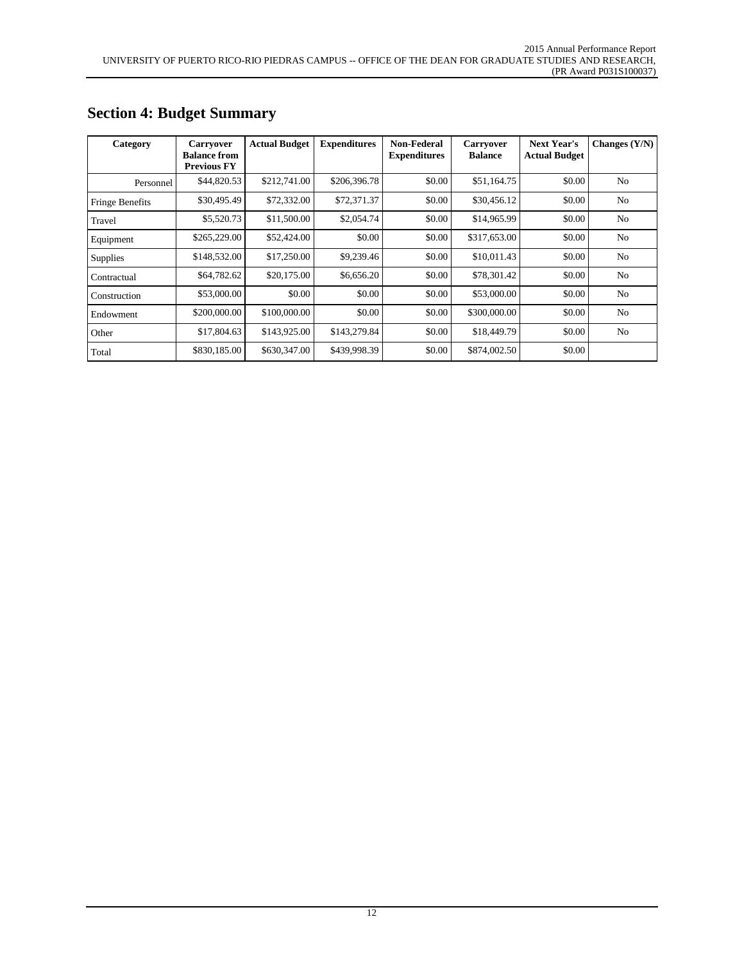| Category        | <b>Carryover</b><br><b>Balance from</b><br><b>Previous FY</b> | <b>Actual Budget</b> | <b>Expenditures</b> | Non-Federal<br><b>Expenditures</b> | <b>Carryover</b><br><b>Balance</b> | <b>Next Year's</b><br><b>Actual Budget</b> | Changes $(Y/N)$ |
|-----------------|---------------------------------------------------------------|----------------------|---------------------|------------------------------------|------------------------------------|--------------------------------------------|-----------------|
| Personnel       | \$44,820.53                                                   | \$212,741.00         | \$206,396.78        | \$0.00                             | \$51,164.75                        | \$0.00                                     | N <sub>0</sub>  |
| Fringe Benefits | \$30,495.49                                                   | \$72,332.00          | \$72,371.37         | \$0.00                             | \$30,456.12                        | \$0.00                                     | N <sub>0</sub>  |
| Travel          | \$5,520.73                                                    | \$11,500.00          | \$2,054.74          | \$0.00                             | \$14,965.99                        | \$0.00                                     | N <sub>0</sub>  |
| Equipment       | \$265,229.00                                                  | \$52,424.00          | \$0.00              | \$0.00                             | \$317,653.00                       | \$0.00                                     | N <sub>0</sub>  |
| Supplies        | \$148,532.00                                                  | \$17,250.00          | \$9,239.46          | \$0.00                             | \$10,011.43                        | \$0.00                                     | N <sub>0</sub>  |
| Contractual     | \$64,782.62                                                   | \$20,175.00          | \$6,656.20          | \$0.00                             | \$78,301.42                        | \$0.00                                     | N <sub>0</sub>  |
| Construction    | \$53,000.00                                                   | \$0.00               | \$0.00              | \$0.00                             | \$53,000.00                        | \$0.00                                     | N <sub>0</sub>  |
| Endowment       | \$200,000.00                                                  | \$100,000.00         | \$0.00              | \$0.00                             | \$300,000.00                       | \$0.00                                     | N <sub>o</sub>  |
| Other           | \$17,804.63                                                   | \$143,925.00         | \$143,279.84        | \$0.00                             | \$18,449.79                        | \$0.00                                     | N <sub>0</sub>  |
| Total           | \$830,185.00                                                  | \$630,347.00         | \$439,998.39        | \$0.00                             | \$874,002.50                       | \$0.00                                     |                 |

#### **Section 4: Budget Summary**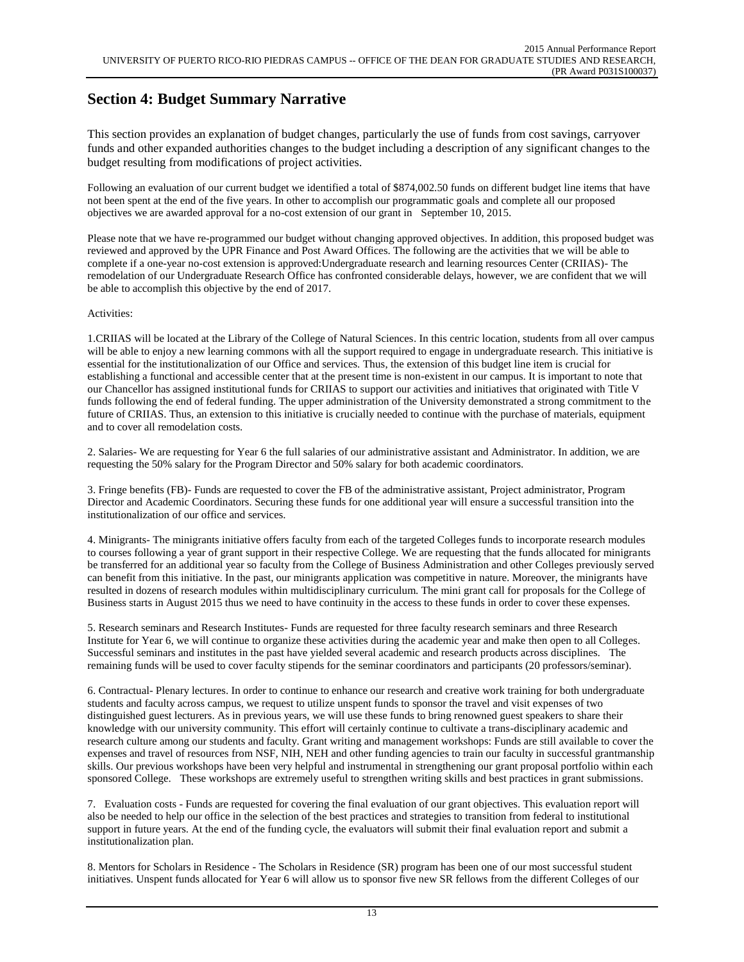## **Section 4: Budget Summary Narrative**

This section provides an explanation of budget changes, particularly the use of funds from cost savings, carryover funds and other expanded authorities changes to the budget including a description of any significant changes to the budget resulting from modifications of project activities.

Following an evaluation of our current budget we identified a total of \$874,002.50 funds on different budget line items that have not been spent at the end of the five years. In other to accomplish our programmatic goals and complete all our proposed objectives we are awarded approval for a no-cost extension of our grant in September 10, 2015.

Please note that we have re-programmed our budget without changing approved objectives. In addition, this proposed budget was reviewed and approved by the UPR Finance and Post Award Offices. The following are the activities that we will be able to complete if a one-year no-cost extension is approved:Undergraduate research and learning resources Center (CRIIAS)- The remodelation of our Undergraduate Research Office has confronted considerable delays, however, we are confident that we will be able to accomplish this objective by the end of 2017.

#### Activities:

1.CRIIAS will be located at the Library of the College of Natural Sciences. In this centric location, students from all over campus will be able to enjoy a new learning commons with all the support required to engage in undergraduate research. This initiative is essential for the institutionalization of our Office and services. Thus, the extension of this budget line item is crucial for establishing a functional and accessible center that at the present time is non-existent in our campus. It is important to note that our Chancellor has assigned institutional funds for CRIIAS to support our activities and initiatives that originated with Title V funds following the end of federal funding. The upper administration of the University demonstrated a strong commitment to the future of CRIIAS. Thus, an extension to this initiative is crucially needed to continue with the purchase of materials, equipment and to cover all remodelation costs.

2. Salaries- We are requesting for Year 6 the full salaries of our administrative assistant and Administrator. In addition, we are requesting the 50% salary for the Program Director and 50% salary for both academic coordinators.

3. Fringe benefits (FB)- Funds are requested to cover the FB of the administrative assistant, Project administrator, Program Director and Academic Coordinators. Securing these funds for one additional year will ensure a successful transition into the institutionalization of our office and services.

4. Minigrants- The minigrants initiative offers faculty from each of the targeted Colleges funds to incorporate research modules to courses following a year of grant support in their respective College. We are requesting that the funds allocated for minigrants be transferred for an additional year so faculty from the College of Business Administration and other Colleges previously served can benefit from this initiative. In the past, our minigrants application was competitive in nature. Moreover, the minigrants have resulted in dozens of research modules within multidisciplinary curriculum. The mini grant call for proposals for the College of Business starts in August 2015 thus we need to have continuity in the access to these funds in order to cover these expenses.

5. Research seminars and Research Institutes- Funds are requested for three faculty research seminars and three Research Institute for Year 6, we will continue to organize these activities during the academic year and make then open to all Colleges. Successful seminars and institutes in the past have yielded several academic and research products across disciplines. The remaining funds will be used to cover faculty stipends for the seminar coordinators and participants (20 professors/seminar).

6. Contractual- Plenary lectures. In order to continue to enhance our research and creative work training for both undergraduate students and faculty across campus, we request to utilize unspent funds to sponsor the travel and visit expenses of two distinguished guest lecturers. As in previous years, we will use these funds to bring renowned guest speakers to share their knowledge with our university community. This effort will certainly continue to cultivate a trans-disciplinary academic and research culture among our students and faculty. Grant writing and management workshops: Funds are still available to cover the expenses and travel of resources from NSF, NIH, NEH and other funding agencies to train our faculty in successful grantmanship skills. Our previous workshops have been very helpful and instrumental in strengthening our grant proposal portfolio within each sponsored College. These workshops are extremely useful to strengthen writing skills and best practices in grant submissions.

7. Evaluation costs - Funds are requested for covering the final evaluation of our grant objectives. This evaluation report will also be needed to help our office in the selection of the best practices and strategies to transition from federal to institutional support in future years. At the end of the funding cycle, the evaluators will submit their final evaluation report and submit a institutionalization plan.

8. Mentors for Scholars in Residence - The Scholars in Residence (SR) program has been one of our most successful student initiatives. Unspent funds allocated for Year 6 will allow us to sponsor five new SR fellows from the different Colleges of our